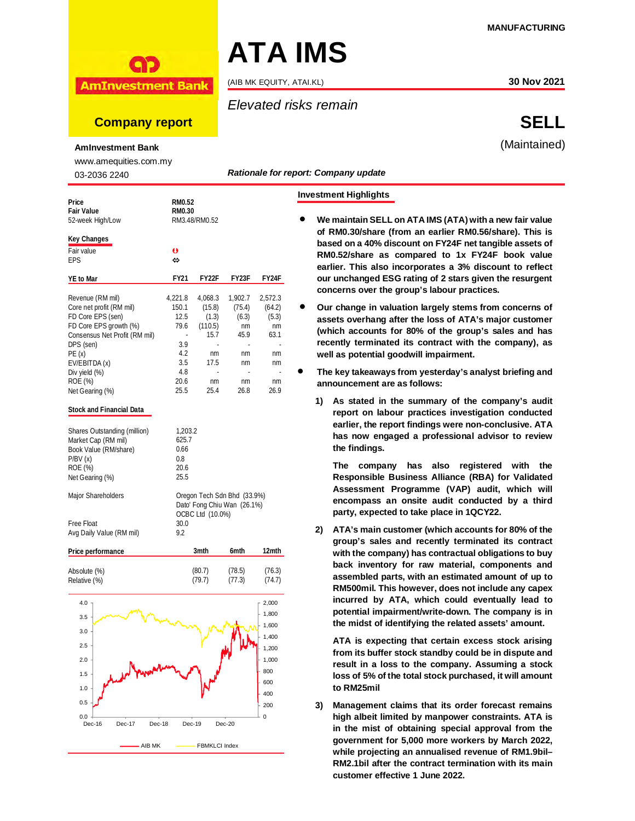

**AmInvestment Bank** 

# **Company report SELL**

#### **AmInvestment Bank**

www.amequities.com.my

03-2036 2240

| 03-2036 2240                                   |                                                            |                  |            | nauvuai <del>c</del> ivi it |  |  |
|------------------------------------------------|------------------------------------------------------------|------------------|------------|-----------------------------|--|--|
| Price<br><b>Fair Value</b><br>52-week High/Low | <b>RM0.52</b><br><b>RM0.30</b>                             | RM3.48/RM0.52    |            |                             |  |  |
| <b>Key Changes</b>                             |                                                            |                  |            |                             |  |  |
| Fair value                                     | $\mathbf o$                                                |                  |            |                             |  |  |
| EPS                                            | ⇔                                                          |                  |            |                             |  |  |
| <b>YE to Mar</b>                               | <b>FY21</b>                                                | FY22F            | FY23F      | FY24F                       |  |  |
| Revenue (RM mil)                               | 4,221.8                                                    | 4,068.3          | 1,902.7    | 2,572.3                     |  |  |
| Core net profit (RM mil)                       | 150.1                                                      | (15.8)           | (75.4)     | (64.2)                      |  |  |
| FD Core EPS (sen)                              | 12.5                                                       | (1.3)            | (6.3)      | (5.3)                       |  |  |
| FD Core EPS growth (%)                         | 79.6                                                       | (110.5)          | nm         | nm                          |  |  |
| Consensus Net Profit (RM mil)                  | ÷,                                                         | 15.7             | 45.9       | 63.1                        |  |  |
| DPS (sen)                                      | 3.9                                                        |                  |            |                             |  |  |
| PE(x)                                          | 4.2                                                        | nm               | nm         | nm                          |  |  |
| EV/EBITDA (x)                                  | 3.5                                                        | 17.5             | nm         | nm                          |  |  |
| Div yield (%)<br>ROE (%)                       | 4.8<br>20.6                                                |                  |            |                             |  |  |
| Net Gearing (%)                                | 25.5                                                       | nm<br>25.4       | nm<br>26.8 | nm<br>26.9                  |  |  |
| <b>Stock and Financial Data</b>                |                                                            |                  |            |                             |  |  |
| Shares Outstanding (million)                   | 1,203.2                                                    |                  |            |                             |  |  |
| Market Cap (RM mil)                            | 625.7                                                      |                  |            |                             |  |  |
| Book Value (RM/share)                          | 0.66                                                       |                  |            |                             |  |  |
| P/BV(x)                                        | 0.8                                                        |                  |            |                             |  |  |
| ROE (%)                                        | 20.6                                                       |                  |            |                             |  |  |
| Net Gearing (%)                                | 25.5                                                       |                  |            |                             |  |  |
| Major Shareholders                             | Oregon Tech Sdn Bhd (33.9%)<br>Dato' Fong Chiu Wan (26.1%) |                  |            |                             |  |  |
|                                                |                                                            | OCBC Ltd (10.0%) |            |                             |  |  |
| Free Float                                     | 30.0                                                       |                  |            |                             |  |  |
| Avg Daily Value (RM mil)                       | 9.2                                                        |                  |            |                             |  |  |
| Price performance                              |                                                            | 3mth             | 6mth       | 12mth                       |  |  |
| Absolute (%)                                   |                                                            | (80.7)           | (78.5)     | (76.3)                      |  |  |
| Relative (%)                                   |                                                            | (79.7)           | (77.3)     | (74.7)                      |  |  |



(AIB MK EQUITY, ATAI.KL) **30 Nov 2021**

**ATA IMS** 

## *Elevated risks remain*

# (Maintained)

*Rationale for report: Company update*

## **Investment Highlights**

- **We maintain SELL on ATA IMS (ATA) with a new fair value of RM0.30/share (from an earlier RM0.56/share). This is based on a 40% discount on FY24F net tangible assets of RM0.52/share as compared to 1x FY24F book value earlier. This also incorporates a 3% discount to reflect our unchanged ESG rating of 2 stars given the resurgent concerns over the group's labour practices.**
- **Our change in valuation largely stems from concerns of assets overhang after the loss of ATA's major customer (which accounts for 80% of the group's sales and has recently terminated its contract with the company), as well as potential goodwill impairment.**
- **The key takeaways from yesterday's analyst briefing and announcement are as follows:**
	- **1) As stated in the summary of the company's audit report on labour practices investigation conducted earlier, the report findings were non-conclusive. ATA has now engaged a professional advisor to review the findings.**

**The company has also registered with the Responsible Business Alliance (RBA) for Validated Assessment Programme (VAP) audit, which will encompass an onsite audit conducted by a third party, expected to take place in 1QCY22.** 

**2) ATA's main customer (which accounts for 80% of the group's sales and recently terminated its contract with the company) has contractual obligations to buy back inventory for raw material, components and assembled parts, with an estimated amount of up to RM500mil. This however, does not include any capex incurred by ATA, which could eventually lead to potential impairment/write-down. The company is in the midst of identifying the related assets' amount.**

**ATA is expecting that certain excess stock arising from its buffer stock standby could be in dispute and result in a loss to the company. Assuming a stock loss of 5% of the total stock purchased, it will amount to RM25mil**

**3) Management claims that its order forecast remains high albeit limited by manpower constraints. ATA is in the mist of obtaining special approval from the government for 5,000 more workers by March 2022, while projecting an annualised revenue of RM1.9bil– RM2.1bil after the contract termination with its main customer effective 1 June 2022.**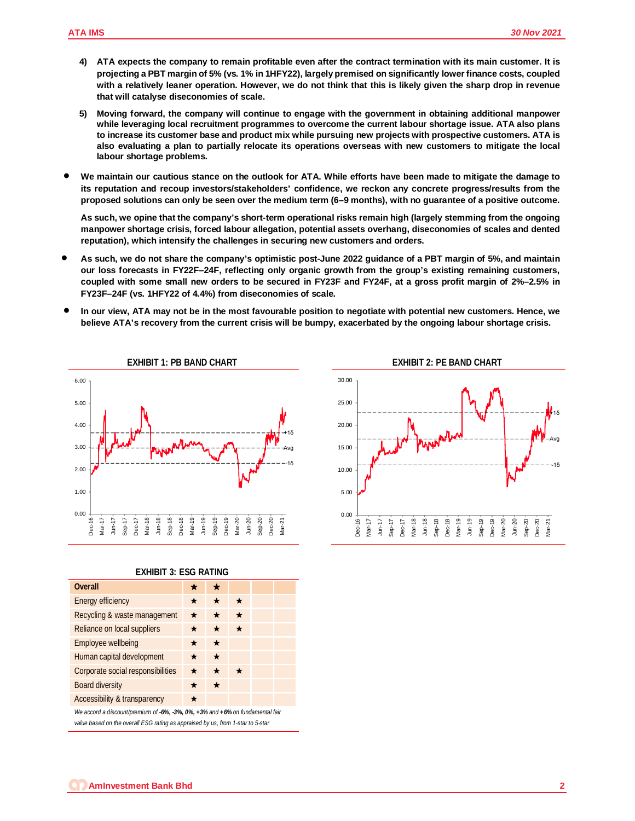- **4) ATA expects the company to remain profitable even after the contract termination with its main customer. It is projecting a PBT margin of 5% (vs. 1% in 1HFY22), largely premised on significantly lower finance costs, coupled with a relatively leaner operation. However, we do not think that this is likely given the sharp drop in revenue that will catalyse diseconomies of scale.**
- **5) Moving forward, the company will continue to engage with the government in obtaining additional manpower while leveraging local recruitment programmes to overcome the current labour shortage issue. ATA also plans to increase its customer base and product mix while pursuing new projects with prospective customers. ATA is also evaluating a plan to partially relocate its operations overseas with new customers to mitigate the local labour shortage problems.**
- **We maintain our cautious stance on the outlook for ATA. While efforts have been made to mitigate the damage to its reputation and recoup investors/stakeholders' confidence, we reckon any concrete progress/results from the proposed solutions can only be seen over the medium term (6–9 months), with no guarantee of a positive outcome.**

**As such, we opine that the company's short-term operational risks remain high (largely stemming from the ongoing manpower shortage crisis, forced labour allegation, potential assets overhang, diseconomies of scales and dented reputation), which intensify the challenges in securing new customers and orders.**

- **As such, we do not share the company's optimistic post-June 2022 guidance of a PBT margin of 5%, and maintain our loss forecasts in FY22F–24F, reflecting only organic growth from the group's existing remaining customers, coupled with some small new orders to be secured in FY23F and FY24F, at a gross profit margin of 2%–2.5% in FY23F–24F (vs. 1HFY22 of 4.4%) from diseconomies of scale.**
- **In our view, ATA may not be in the most favourable position to negotiate with potential new customers. Hence, we believe ATA's recovery from the current crisis will be bumpy, exacerbated by the ongoing labour shortage crisis.**



### **EXHIBIT 3: ESG RATING**

| <b>Overall</b>                                                                | ★       | ★       |         |  |  |  |
|-------------------------------------------------------------------------------|---------|---------|---------|--|--|--|
| <b>Energy efficiency</b>                                                      | ★       | $\star$ |         |  |  |  |
| Recycling & waste management                                                  | $\star$ | $\star$ | $\star$ |  |  |  |
| Reliance on local suppliers                                                   | ★       | ★       | ★       |  |  |  |
| <b>Employee wellbeing</b>                                                     | ★       | $\star$ |         |  |  |  |
| Human capital development                                                     | ★       | $\star$ |         |  |  |  |
| Corporate social responsibilities                                             | ★       | $\star$ | $\star$ |  |  |  |
| <b>Board diversity</b>                                                        | $\star$ | $\star$ |         |  |  |  |
| <b>Accessibility &amp; transparency</b>                                       | *       |         |         |  |  |  |
| We accord a discount/premium of -6%, -3%, 0%, +3% and +6% on fundamental fair |         |         |         |  |  |  |

*value based on the overall ESG rating as appraised by us, from 1-star to 5-star*

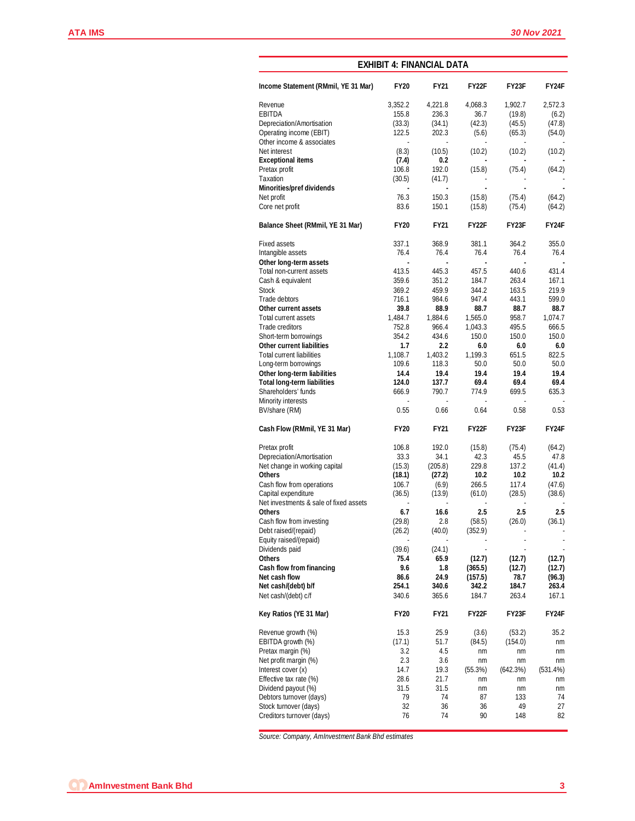|                                        | <b>EXHIBIT 4: FINANCIAL DATA</b> |                |                |                    |              |  |  |  |  |
|----------------------------------------|----------------------------------|----------------|----------------|--------------------|--------------|--|--|--|--|
| Income Statement (RMmil, YE 31 Mar)    | <b>FY20</b>                      | <b>FY21</b>    | <b>FY22F</b>   | FY23F              | FY24F        |  |  |  |  |
| Revenue                                | 3,352.2                          | 4,221.8        | 4,068.3        | 1,902.7            | 2,572.3      |  |  |  |  |
| <b>EBITDA</b>                          | 155.8                            | 236.3          | 36.7           | (19.8)             | (6.2)        |  |  |  |  |
| Depreciation/Amortisation              | (33.3)                           | (34.1)         | (42.3)         | (45.5)             | (47.8)       |  |  |  |  |
| Operating income (EBIT)                | 122.5                            | 202.3          | (5.6)          | (65.3)             | (54.0)       |  |  |  |  |
| Other income & associates              |                                  |                |                |                    |              |  |  |  |  |
| Net interest                           | (8.3)                            | (10.5)         | (10.2)         | (10.2)             | (10.2)       |  |  |  |  |
| <b>Exceptional items</b>               | (7.4)                            | 0.2            |                |                    |              |  |  |  |  |
| Pretax profit                          | 106.8                            | 192.0          | (15.8)         | (75.4)             | (64.2)       |  |  |  |  |
| Taxation                               | (30.5)                           | (41.7)         |                |                    |              |  |  |  |  |
| <b>Minorities/pref dividends</b>       |                                  |                | $\blacksquare$ | ä,                 |              |  |  |  |  |
| Net profit                             | 76.3                             | 150.3          | (15.8)         | (75.4)             | (64.2)       |  |  |  |  |
| Core net profit                        | 83.6                             | 150.1          | (15.8)         | (75.4)             | (64.2)       |  |  |  |  |
| Balance Sheet (RMmil, YE 31 Mar)       | <b>FY20</b>                      | <b>FY21</b>    | <b>FY22F</b>   | FY23F              | <b>FY24F</b> |  |  |  |  |
| <b>Fixed assets</b>                    | 337.1                            | 368.9          | 381.1          | 364.2              | 355.0        |  |  |  |  |
| Intangible assets                      | 76.4                             | 76.4           | 76.4           | 76.4               | 76.4         |  |  |  |  |
| Other long-term assets                 | $\blacksquare$                   | $\blacksquare$ | $\blacksquare$ | $\blacksquare$     |              |  |  |  |  |
| Total non-current assets               | 413.5                            | 445.3          | 457.5          | 440.6              | 431.4        |  |  |  |  |
| Cash & equivalent                      | 359.6                            | 351.2          | 184.7          | 263.4              | 167.1        |  |  |  |  |
| <b>Stock</b>                           | 369.2                            | 459.9          | 344.2          | 163.5              | 219.9        |  |  |  |  |
| Trade debtors                          | 716.1                            | 984.6          | 947.4          | 443.1              | 599.0        |  |  |  |  |
| Other current assets                   | 39.8                             | 88.9           | 88.7           | 88.7               | 88.7         |  |  |  |  |
| Total current assets                   | 1,484.7                          | 1,884.6        | 1,565.0        | 958.7              | 1,074.7      |  |  |  |  |
| Trade creditors                        | 752.8                            | 966.4          | 1,043.3        | 495.5              | 666.5        |  |  |  |  |
| Short-term borrowings                  | 354.2                            | 434.6          | 150.0          | 150.0              | 150.0        |  |  |  |  |
| <b>Other current liabilities</b>       | 1.7                              | $2.2\,$        | 6.0            | 6.0                | 6.0          |  |  |  |  |
| <b>Total current liabilities</b>       | 1,108.7                          | 1,403.2        | 1,199.3        | 651.5              | 822.5        |  |  |  |  |
| Long-term borrowings                   | 109.6                            | 118.3          | 50.0           | 50.0               | 50.0         |  |  |  |  |
| Other long-term liabilities            | 14.4                             | 19.4           | 19.4           | 19.4               | 19.4         |  |  |  |  |
| <b>Total long-term liabilities</b>     | 124.0                            | 137.7          | 69.4           | 69.4               | 69.4         |  |  |  |  |
| Shareholders' funds                    | 666.9                            | 790.7          | 774.9          | 699.5              | 635.3        |  |  |  |  |
| <b>Minority interests</b>              |                                  |                |                |                    |              |  |  |  |  |
| BV/share (RM)                          | 0.55                             | 0.66           | 0.64           | 0.58               | 0.53         |  |  |  |  |
| Cash Flow (RMmil, YE 31 Mar)           | <b>FY20</b>                      | <b>FY21</b>    | <b>FY22F</b>   | FY23F              | <b>FY24F</b> |  |  |  |  |
| Pretax profit                          | 106.8                            | 192.0          | (15.8)         | (75.4)             | (64.2)       |  |  |  |  |
| Depreciation/Amortisation              | 33.3                             | 34.1           | 42.3           | 45.5               | 47.8         |  |  |  |  |
| Net change in working capital          | (15.3)                           | (205.8)        | 229.8          | 137.2              | (41.4)       |  |  |  |  |
| <b>Others</b>                          | (18.1)                           | (27.2)         | 10.2           | 10.2               | 10.2         |  |  |  |  |
| Cash flow from operations              | 106.7                            | (6.9)          | 266.5          | 117.4              | (47.6)       |  |  |  |  |
| Capital expenditure                    | (36.5)                           | (13.9)         | (61.0)         | (28.5)             | (38.6)       |  |  |  |  |
| Net investments & sale of fixed assets |                                  |                |                |                    |              |  |  |  |  |
| <b>Others</b>                          | 6.7                              | 16.6           | 2.5            | 2.5                | 2.5          |  |  |  |  |
| Cash flow from investing               | (29.8)                           | 2.8            | (58.5)         | (26.0)             | (36.1)       |  |  |  |  |
| Debt raised/(repaid)                   | (26.2)                           | (40.0)         | (352.9)        |                    |              |  |  |  |  |
| Equity raised/(repaid)                 |                                  |                |                |                    |              |  |  |  |  |
| Dividends paid                         | (39.6)                           | (24.1)         |                |                    |              |  |  |  |  |
| <b>Others</b>                          | 75.4                             | 65.9           | (12.7)         | (12.7)             | (12.7)       |  |  |  |  |
| <b>Cash flow from financing</b>        | 9.6                              | 1.8            | (365.5)        | (12.7)             | (12.7)       |  |  |  |  |
| Net cash flow                          | 86.6                             | 24.9           | (157.5)        | 78.7               | (96.3)       |  |  |  |  |
| Net cash/(debt) b/f                    | 254.1                            | 340.6          | 342.2          | 184.7              | 263.4        |  |  |  |  |
| Net cash/(debt) c/f                    | 340.6                            | 365.6          | 184.7          | 263.4              | 167.1        |  |  |  |  |
| Key Ratios (YE 31 Mar)                 | <b>FY20</b>                      | <b>FY21</b>    | <b>FY22F</b>   | FY <sub>23</sub> F | <b>FY24F</b> |  |  |  |  |
| Revenue growth (%)                     | 15.3                             | 25.9           | (3.6)          | (53.2)             | 35.2         |  |  |  |  |
| EBITDA growth (%)                      | (17.1)                           | 51.7           | (84.5)         | (154.0)            | nm           |  |  |  |  |
| Pretax margin (%)                      | 3.2                              | 4.5            | nm             | nm                 | nm           |  |  |  |  |
| Net profit margin (%)                  | 2.3                              | 3.6            | nm             | nm                 | nm           |  |  |  |  |
| Interest cover (x)                     | 14.7                             | 19.3           | (55.3%)        | (642.3%)           | (531.4%)     |  |  |  |  |
| Effective tax rate (%)                 | 28.6                             | 21.7           | nm             | nm                 | nm           |  |  |  |  |
| Dividend payout (%)                    | 31.5                             | 31.5           | nm             | nm                 | nm           |  |  |  |  |
| Debtors turnover (days)                | 79                               | 74             | 87             | 133                | 74           |  |  |  |  |
| Stock turnover (days)                  | 32                               | 36             | 36             | 49                 | 27           |  |  |  |  |
| Creditors turnover (days)              | 76                               | 74             | 90             | 148                | 82           |  |  |  |  |

*Source: Company, AmInvestment Bank Bhd estimates*